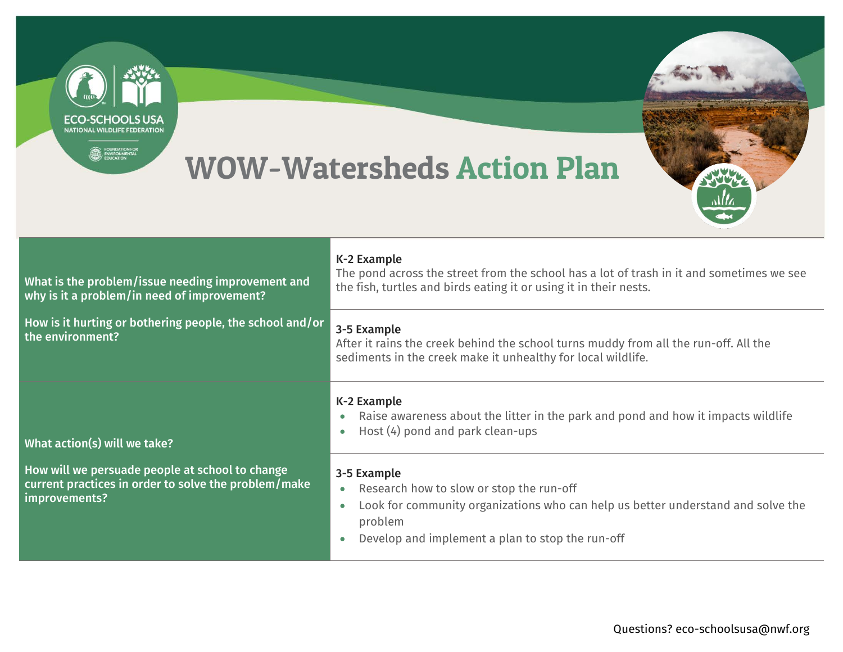| <b>NATIONAL WILDLIFE FEDERATION</b><br><b>EDUNDATION FOR STRATEGIES</b>                                                                                                          | <b>WOW-Watersheds Action Plan</b>                                                                                                                                                                                                    |
|----------------------------------------------------------------------------------------------------------------------------------------------------------------------------------|--------------------------------------------------------------------------------------------------------------------------------------------------------------------------------------------------------------------------------------|
| What is the problem/issue needing improvement and<br>why is it a problem/in need of improvement?<br>How is it hurting or bothering people, the school and/or<br>the environment? | K-2 Example<br>The pond across the street from the school has a lot of trash in it and sometimes we see<br>the fish, turtles and birds eating it or using it in their nests.                                                         |
|                                                                                                                                                                                  | 3-5 Example<br>After it rains the creek behind the school turns muddy from all the run-off. All the<br>sediments in the creek make it unhealthy for local wildlife.                                                                  |
| What action(s) will we take?                                                                                                                                                     | K-2 Example<br>Raise awareness about the litter in the park and pond and how it impacts wildlife<br>Host (4) pond and park clean-ups                                                                                                 |
| How will we persuade people at school to change<br>current practices in order to solve the problem/make<br>improvements?                                                         | 3-5 Example<br>Research how to slow or stop the run-off<br>$\bullet$<br>Look for community organizations who can help us better understand and solve the<br>$\bullet$<br>problem<br>Develop and implement a plan to stop the run-off |